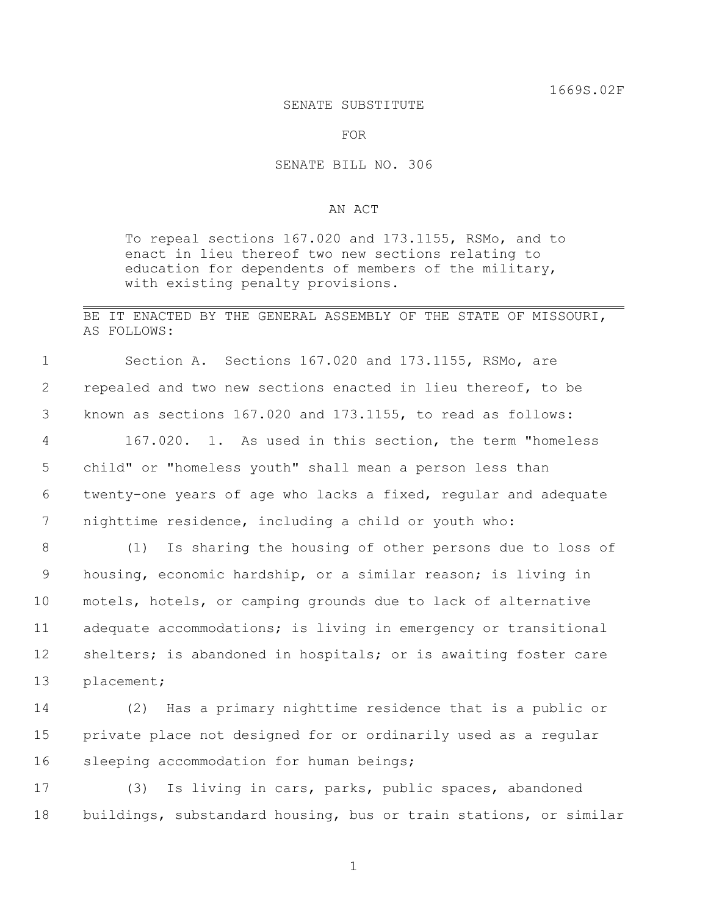#### SENATE SUBSTITUTE

FOR

#### SENATE BILL NO. 306

### AN ACT

To repeal sections 167.020 and 173.1155, RSMo, and to enact in lieu thereof two new sections relating to education for dependents of members of the military, with existing penalty provisions.

## BE IT ENACTED BY THE GENERAL ASSEMBLY OF THE STATE OF MISSOURI, AS FOLLOWS:

 Section A. Sections 167.020 and 173.1155, RSMo, are repealed and two new sections enacted in lieu thereof, to be known as sections 167.020 and 173.1155, to read as follows: 167.020. 1. As used in this section, the term "homeless child" or "homeless youth" shall mean a person less than twenty-one years of age who lacks a fixed, regular and adequate

7 nighttime residence, including a child or youth who:

 (1) Is sharing the housing of other persons due to loss of housing, economic hardship, or a similar reason; is living in motels, hotels, or camping grounds due to lack of alternative adequate accommodations; is living in emergency or transitional 12 shelters; is abandoned in hospitals; or is awaiting foster care placement;

14 (2) Has a primary nighttime residence that is a public or 15 private place not designed for or ordinarily used as a regular 16 sleeping accommodation for human beings;

17 (3) Is living in cars, parks, public spaces, abandoned 18 buildings, substandard housing, bus or train stations, or similar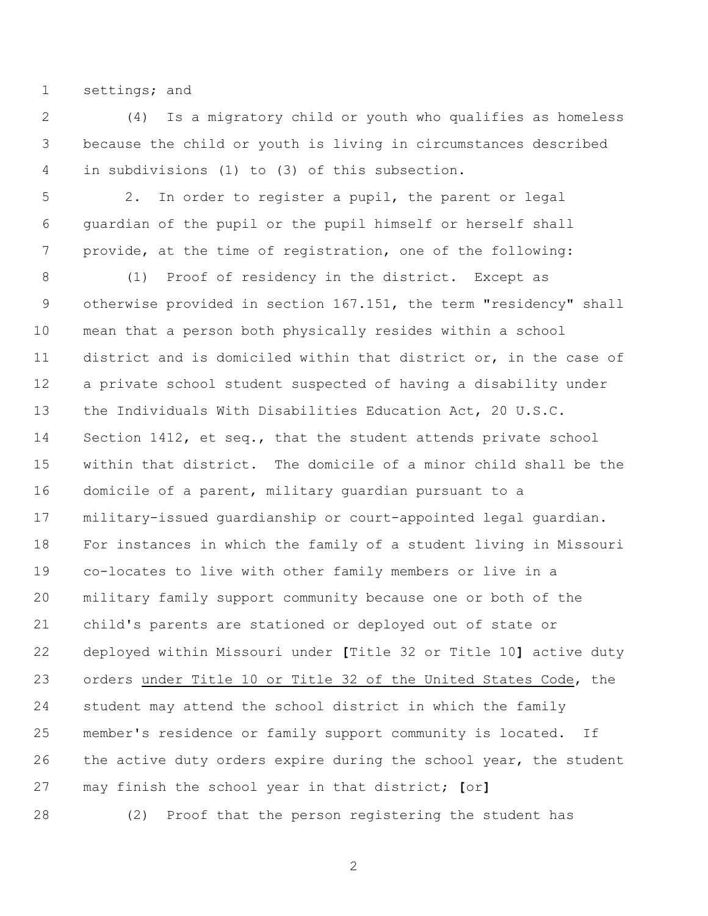settings; and

 (4) Is a migratory child or youth who qualifies as homeless because the child or youth is living in circumstances described in subdivisions (1) to (3) of this subsection.

 2. In order to register a pupil, the parent or legal guardian of the pupil or the pupil himself or herself shall provide, at the time of registration, one of the following:

 (1) Proof of residency in the district. Except as otherwise provided in section 167.151, the term "residency" shall mean that a person both physically resides within a school district and is domiciled within that district or, in the case of a private school student suspected of having a disability under the Individuals With Disabilities Education Act, 20 U.S.C. Section 1412, et seq., that the student attends private school within that district. The domicile of a minor child shall be the domicile of a parent, military guardian pursuant to a military-issued guardianship or court-appointed legal guardian. For instances in which the family of a student living in Missouri co-locates to live with other family members or live in a military family support community because one or both of the child's parents are stationed or deployed out of state or deployed within Missouri under **[**Title 32 or Title 10**]** active duty orders under Title 10 or Title 32 of the United States Code, the student may attend the school district in which the family member's residence or family support community is located. If 26 the active duty orders expire during the school year, the student may finish the school year in that district; **[**or**]**

(2) Proof that the person registering the student has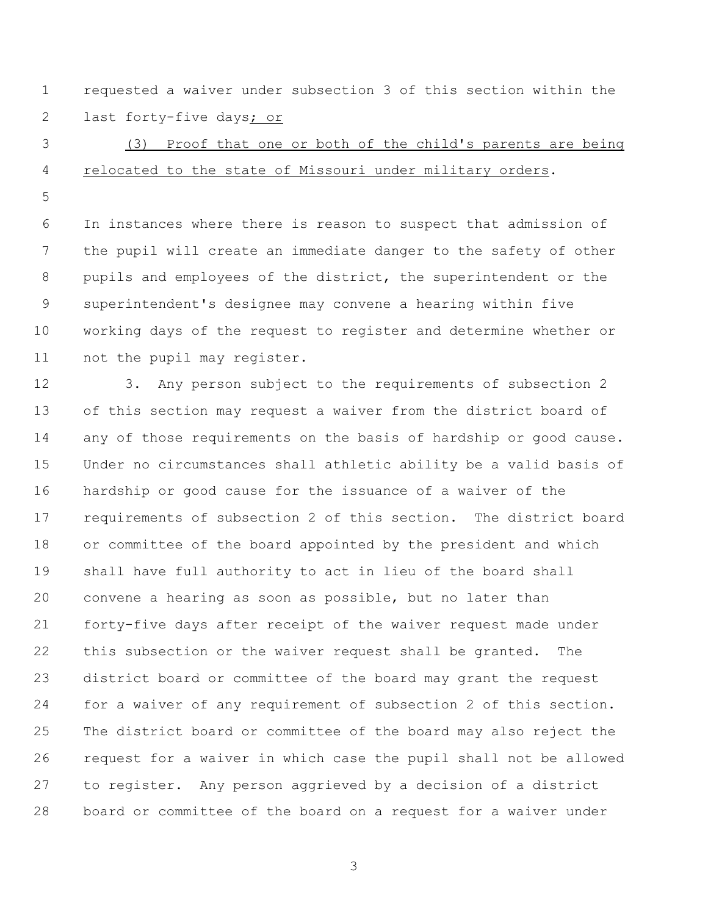requested a waiver under subsection 3 of this section within the 2 last forty-five days<sub>j or</sub>

# (3) Proof that one or both of the child's parents are being relocated to the state of Missouri under military orders.

 In instances where there is reason to suspect that admission of the pupil will create an immediate danger to the safety of other pupils and employees of the district, the superintendent or the superintendent's designee may convene a hearing within five working days of the request to register and determine whether or 11 not the pupil may register.

 3. Any person subject to the requirements of subsection 2 of this section may request a waiver from the district board of 14 any of those requirements on the basis of hardship or good cause. Under no circumstances shall athletic ability be a valid basis of hardship or good cause for the issuance of a waiver of the requirements of subsection 2 of this section. The district board or committee of the board appointed by the president and which shall have full authority to act in lieu of the board shall convene a hearing as soon as possible, but no later than forty-five days after receipt of the waiver request made under this subsection or the waiver request shall be granted. The district board or committee of the board may grant the request for a waiver of any requirement of subsection 2 of this section. The district board or committee of the board may also reject the request for a waiver in which case the pupil shall not be allowed to register. Any person aggrieved by a decision of a district board or committee of the board on a request for a waiver under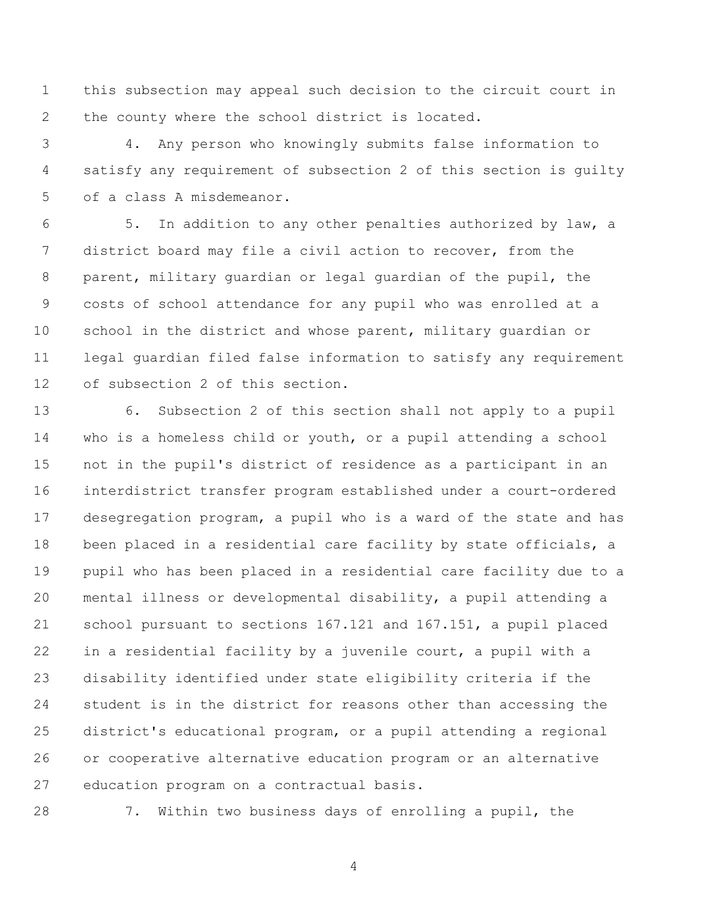this subsection may appeal such decision to the circuit court in the county where the school district is located.

 4. Any person who knowingly submits false information to satisfy any requirement of subsection 2 of this section is guilty of a class A misdemeanor.

 5. In addition to any other penalties authorized by law, a district board may file a civil action to recover, from the parent, military guardian or legal guardian of the pupil, the costs of school attendance for any pupil who was enrolled at a school in the district and whose parent, military guardian or legal guardian filed false information to satisfy any requirement of subsection 2 of this section.

 6. Subsection 2 of this section shall not apply to a pupil who is a homeless child or youth, or a pupil attending a school not in the pupil's district of residence as a participant in an interdistrict transfer program established under a court-ordered desegregation program, a pupil who is a ward of the state and has been placed in a residential care facility by state officials, a pupil who has been placed in a residential care facility due to a mental illness or developmental disability, a pupil attending a school pursuant to sections 167.121 and 167.151, a pupil placed in a residential facility by a juvenile court, a pupil with a disability identified under state eligibility criteria if the student is in the district for reasons other than accessing the district's educational program, or a pupil attending a regional or cooperative alternative education program or an alternative education program on a contractual basis.

7. Within two business days of enrolling a pupil, the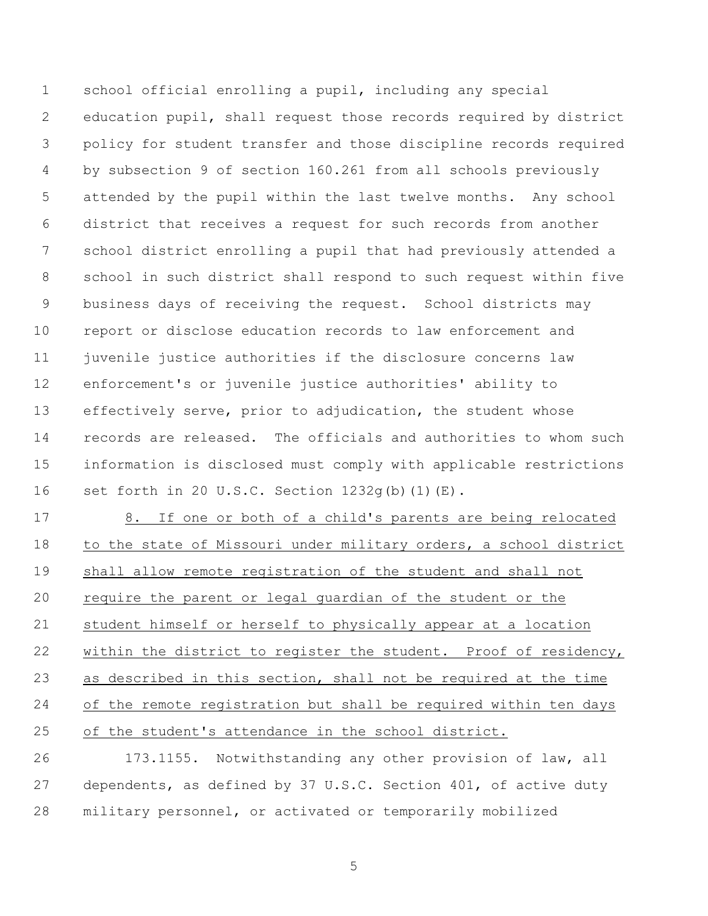school official enrolling a pupil, including any special education pupil, shall request those records required by district policy for student transfer and those discipline records required by subsection 9 of section 160.261 from all schools previously attended by the pupil within the last twelve months. Any school district that receives a request for such records from another school district enrolling a pupil that had previously attended a school in such district shall respond to such request within five business days of receiving the request. School districts may report or disclose education records to law enforcement and juvenile justice authorities if the disclosure concerns law enforcement's or juvenile justice authorities' ability to effectively serve, prior to adjudication, the student whose records are released. The officials and authorities to whom such information is disclosed must comply with applicable restrictions set forth in 20 U.S.C. Section 1232g(b)(1)(E).

 8. If one or both of a child's parents are being relocated to the state of Missouri under military orders, a school district shall allow remote registration of the student and shall not require the parent or legal guardian of the student or the student himself or herself to physically appear at a location 22 within the district to register the student. Proof of residency, as described in this section, shall not be required at the time of the remote registration but shall be required within ten days of the student's attendance in the school district.

 173.1155. Notwithstanding any other provision of law, all dependents, as defined by 37 U.S.C. Section 401, of active duty military personnel, or activated or temporarily mobilized